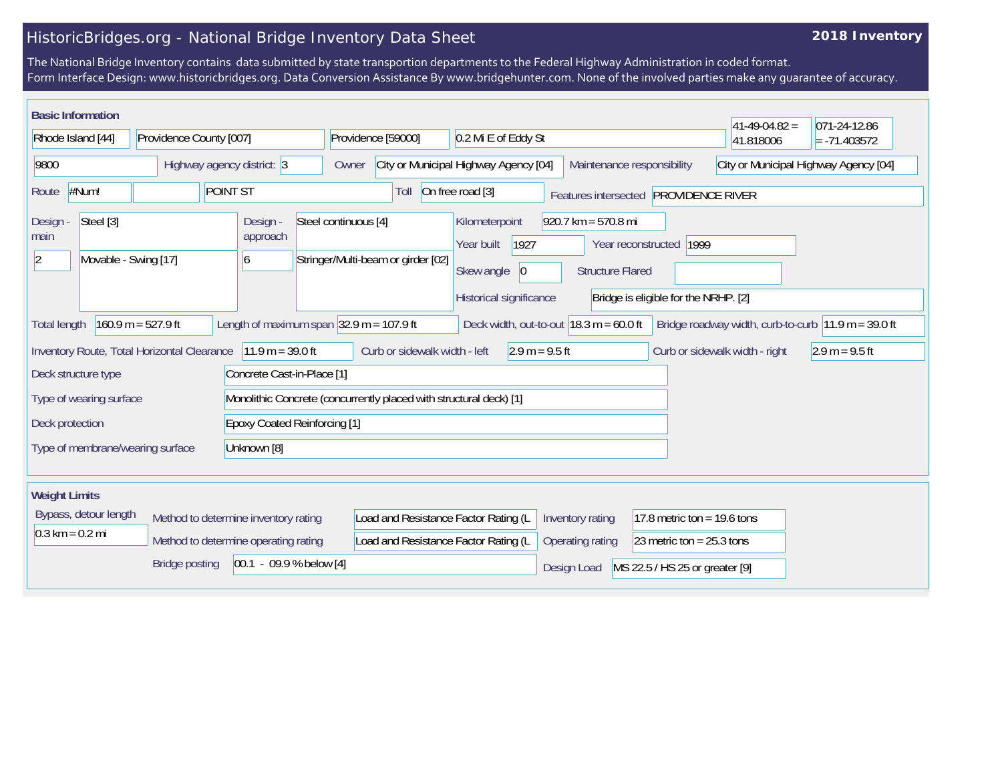## HistoricBridges.org - National Bridge Inventory Data Sheet

## **2018 Inventory**

The National Bridge Inventory contains data submitted by state transportion departments to the Federal Highway Administration in coded format. Form Interface Design: www.historicbridges.org. Data Conversion Assistance By www.bridgehunter.com. None of the involved parties make any guarantee of accuracy.

| <b>Basic Information</b>                                                                                                                                                                                                                            |                         |                                                                    |                                                            |                                                                                      |                                                                                                                     | $ 41-49-04.82 $<br>071-24-12.86 |  |  |
|-----------------------------------------------------------------------------------------------------------------------------------------------------------------------------------------------------------------------------------------------------|-------------------------|--------------------------------------------------------------------|------------------------------------------------------------|--------------------------------------------------------------------------------------|---------------------------------------------------------------------------------------------------------------------|---------------------------------|--|--|
| Rhode Island [44]                                                                                                                                                                                                                                   | Providence County [007] |                                                                    | Providence [59000]                                         | 0.2 Mi E of Eddy St                                                                  |                                                                                                                     | 41.818006<br>$= -71.403572$     |  |  |
| 9800<br>Highway agency district: 3                                                                                                                                                                                                                  |                         |                                                                    | Owner                                                      | City or Municipal Highway Agency [04]                                                | City or Municipal Highway Agency [04]<br>Maintenance responsibility                                                 |                                 |  |  |
| #Num!<br><b>POINT ST</b><br>Route                                                                                                                                                                                                                   |                         |                                                                    | Toll                                                       | On free road [3]                                                                     | Features intersected PROVIDENCE RIVER                                                                               |                                 |  |  |
| Steel [3]<br>Design -<br>main<br>Movable - Swing [17]<br> 2                                                                                                                                                                                         |                         | Design -<br>approach<br>$\vert 6 \vert$                            | Steel continuous [4]<br>Stringer/Multi-beam or girder [02] | Kilometerpoint<br>1927<br>Year built<br> 0 <br>Skew angle<br>Historical significance | $920.7$ km = 570.8 mi<br>Year reconstructed 1999<br><b>Structure Flared</b><br>Bridge is eligible for the NRHP. [2] |                                 |  |  |
| Length of maximum span $ 32.9 \text{ m} = 107.9 \text{ ft} $<br>$160.9 m = 527.9 ft$<br>Deck width, out-to-out $18.3 \text{ m} = 60.0 \text{ ft}$<br>Bridge roadway width, curb-to-curb $ 11.9 \text{ m} = 39.0 \text{ ft} $<br><b>Total length</b> |                         |                                                                    |                                                            |                                                                                      |                                                                                                                     |                                 |  |  |
| Curb or sidewalk width - left<br>$2.9 m = 9.5 ft$<br>Inventory Route, Total Horizontal Clearance<br>$11.9 m = 39.0 ft$<br>Curb or sidewalk width - right<br>$2.9 m = 9.5 ft$                                                                        |                         |                                                                    |                                                            |                                                                                      |                                                                                                                     |                                 |  |  |
| Concrete Cast-in-Place [1]<br>Deck structure type                                                                                                                                                                                                   |                         |                                                                    |                                                            |                                                                                      |                                                                                                                     |                                 |  |  |
| Type of wearing surface                                                                                                                                                                                                                             |                         | Monolithic Concrete (concurrently placed with structural deck) [1] |                                                            |                                                                                      |                                                                                                                     |                                 |  |  |
| <b>Epoxy Coated Reinforcing [1]</b><br>Deck protection                                                                                                                                                                                              |                         |                                                                    |                                                            |                                                                                      |                                                                                                                     |                                 |  |  |
| Type of membrane/wearing surface<br>Unknown [8]                                                                                                                                                                                                     |                         |                                                                    |                                                            |                                                                                      |                                                                                                                     |                                 |  |  |
| <b>Weight Limits</b>                                                                                                                                                                                                                                |                         |                                                                    |                                                            |                                                                                      |                                                                                                                     |                                 |  |  |
| Bypass, detour length<br>Method to determine inventory rating                                                                                                                                                                                       |                         | Load and Resistance Factor Rating (L                               |                                                            | Inventory rating                                                                     | 17.8 metric ton = 19.6 tons                                                                                         |                                 |  |  |
| $0.3 \text{ km} = 0.2 \text{ mi}$<br>Method to determine operating rating                                                                                                                                                                           |                         |                                                                    | Load and Resistance Factor Rating (L                       |                                                                                      | Operating rating<br>23 metric ton = $25.3$ tons                                                                     |                                 |  |  |
| $[00.1 - 09.9 %$ below [4]<br><b>Bridge posting</b>                                                                                                                                                                                                 |                         |                                                                    |                                                            |                                                                                      | MS 22.5 / HS 25 or greater [9]<br>Design Load                                                                       |                                 |  |  |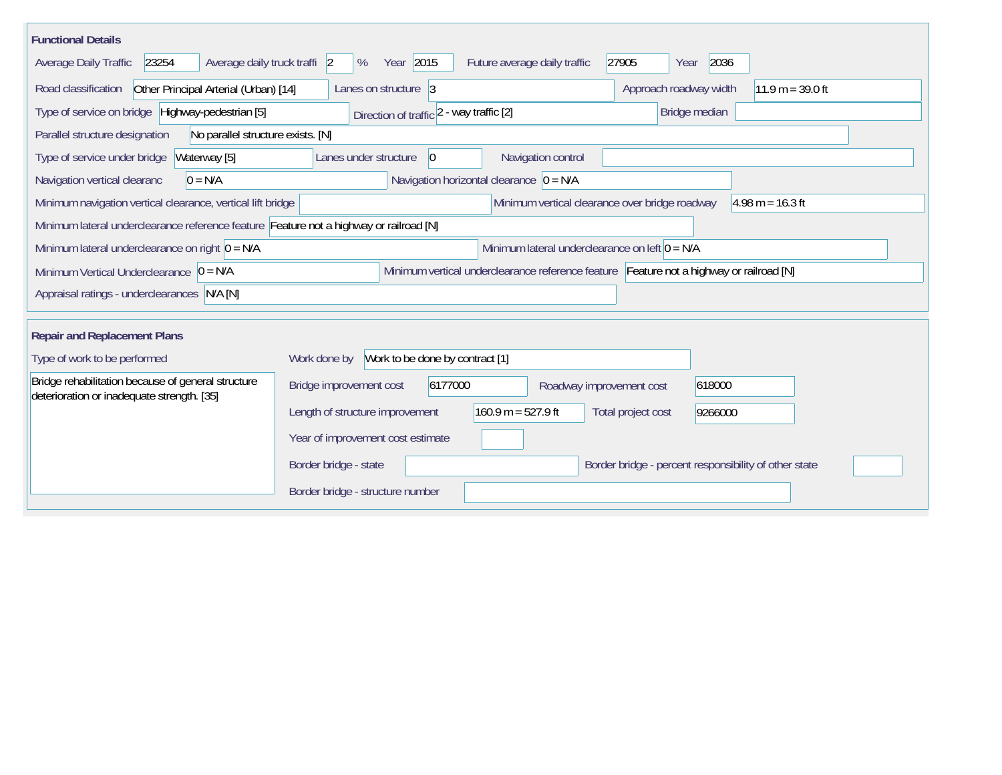| <b>Functional Details</b>                                                                        |                                   |                                             |                                                  |                                                                                         |                    |
|--------------------------------------------------------------------------------------------------|-----------------------------------|---------------------------------------------|--------------------------------------------------|-----------------------------------------------------------------------------------------|--------------------|
| 23254<br>Average daily truck traffi 2<br>Average Daily Traffic                                   | Year 2015<br>%                    | Future average daily traffic                | 27905                                            | 2036<br>Year                                                                            |                    |
| Road classification<br>Other Principal Arterial (Urban) [14]                                     | Lanes on structure 3              |                                             |                                                  | Approach roadway width                                                                  | $11.9 m = 39.0 ft$ |
| Type of service on bridge Highway-pedestrian [5]                                                 |                                   | Direction of traffic 2 - way traffic [2]    |                                                  | Bridge median                                                                           |                    |
| Parallel structure designation<br>No parallel structure exists. [N]                              |                                   |                                             |                                                  |                                                                                         |                    |
| Type of service under bridge<br>Waterway [5]                                                     | Lanes under structure             | $\vert 0 \vert$                             | Navigation control                               |                                                                                         |                    |
| Navigation vertical clearanc<br>$0 = N/A$                                                        |                                   | Navigation horizontal clearance $ 0 = N/A $ |                                                  |                                                                                         |                    |
| Minimum navigation vertical clearance, vertical lift bridge                                      |                                   |                                             | Minimum vertical clearance over bridge roadway   |                                                                                         | $4.98 m = 16.3 ft$ |
| Minimum lateral underclearance reference feature Feature not a highway or railroad [N]           |                                   |                                             |                                                  |                                                                                         |                    |
| Minimum lateral underclearance on right $0 = N/A$                                                |                                   |                                             | Minimum lateral underclearance on left $0 = N/A$ |                                                                                         |                    |
| Minimum Vertical Underclearance $ 0 = N/A $                                                      |                                   |                                             |                                                  | Minimum vertical underclearance reference feature Feature not a highway or railroad [N] |                    |
| Appraisal ratings - underclearances N/A [N]                                                      |                                   |                                             |                                                  |                                                                                         |                    |
| <b>Repair and Replacement Plans</b>                                                              |                                   |                                             |                                                  |                                                                                         |                    |
| Type of work to be performed                                                                     | Work done by                      | Work to be done by contract [1]             |                                                  |                                                                                         |                    |
| Bridge rehabilitation because of general structure<br>deterioration or inadequate strength. [35] | Bridge improvement cost           | 6177000                                     | Roadway improvement cost                         | 618000                                                                                  |                    |
|                                                                                                  | Length of structure improvement   | $160.9 m = 527.9 ft$                        |                                                  | Total project cost<br>9266000                                                           |                    |
|                                                                                                  | Year of improvement cost estimate |                                             |                                                  |                                                                                         |                    |
|                                                                                                  | Border bridge - state             |                                             |                                                  | Border bridge - percent responsibility of other state                                   |                    |
|                                                                                                  | Border bridge - structure number  |                                             |                                                  |                                                                                         |                    |